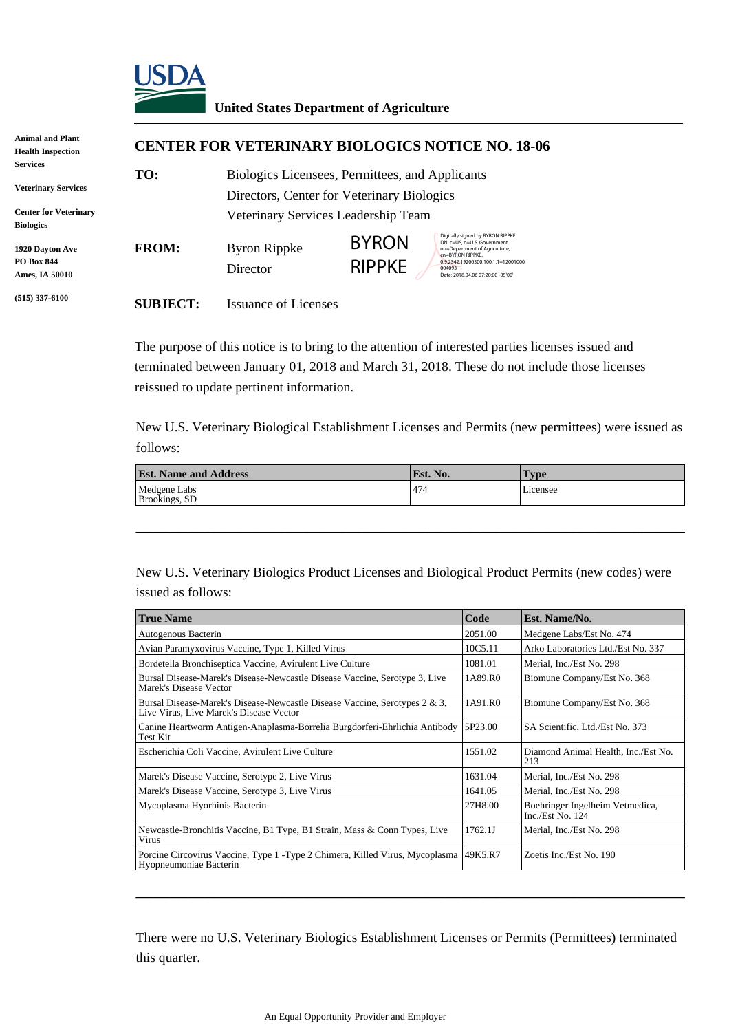

## **United States Department of Agriculture**

| <b>Animal and Plant</b>                                       | <b>CENTER FOR VETERINARY BIOLOGICS NOTICE NO. 18-06</b> |                                                                                               |                               |                                                                                                                                                                                                            |  |  |  |
|---------------------------------------------------------------|---------------------------------------------------------|-----------------------------------------------------------------------------------------------|-------------------------------|------------------------------------------------------------------------------------------------------------------------------------------------------------------------------------------------------------|--|--|--|
| <b>Health Inspection</b>                                      |                                                         |                                                                                               |                               |                                                                                                                                                                                                            |  |  |  |
| <b>Services</b><br><b>Veterinary Services</b>                 | TO:                                                     | Biologics Licensees, Permittees, and Applicants<br>Directors, Center for Veterinary Biologics |                               |                                                                                                                                                                                                            |  |  |  |
| <b>Center for Veterinary</b><br><b>Biologics</b>              |                                                         | Veterinary Services Leadership Team                                                           |                               |                                                                                                                                                                                                            |  |  |  |
| <b>1920 Dayton Ave</b><br><b>PO Box 844</b><br>Ames, IA 50010 | <b>FROM:</b>                                            | Byron Rippke<br>Director                                                                      | <b>BYRON</b><br><b>RIPPKE</b> | Digitally signed by BYRON RIPPKE<br>DN: c=US, o=U.S. Government,<br>ou=Department of Agriculture,<br>cn=BYRON RIPPKE.<br>0.9.2342.19200300.100.1.1=12001000<br>004093<br>Date: 2018.04.06 07:20:00 -05'00' |  |  |  |
| $(515)$ 337-6100                                              | <b>SUBJECT:</b>                                         | Issuance of Licenses                                                                          |                               |                                                                                                                                                                                                            |  |  |  |

The purpose of this notice is to bring to the attention of interested parties licenses issued and terminated between January 01, 2018 and March 31, 2018. These do not include those licenses reissued to update pertinent information.

New U.S. Veterinary Biological Establishment Licenses and Permits (new permittees) were issued as follows:

| <b>Est. Name and Address</b>  | Est. No. | l'vpe    |
|-------------------------------|----------|----------|
| Medgene Labs<br>Brookings, SD | 474      | Licensee |

\_\_\_\_\_\_\_\_\_\_\_\_\_\_\_\_\_\_\_\_\_\_\_\_\_\_\_\_\_\_\_\_\_\_\_\_\_\_\_\_\_\_\_\_\_\_\_\_\_\_\_\_\_\_\_\_\_\_\_\_\_\_\_\_

New U.S. Veterinary Biologics Product Licenses and Biological Product Permits (new codes) were issued as follows:

| <b>True Name</b>                                                                                                      | Code    | Est. Name/No.                                         |
|-----------------------------------------------------------------------------------------------------------------------|---------|-------------------------------------------------------|
| Autogenous Bacterin                                                                                                   | 2051.00 | Medgene Labs/Est No. 474                              |
| Avian Paramyxovirus Vaccine, Type 1, Killed Virus                                                                     | 10C5.11 | Arko Laboratories Ltd./Est No. 337                    |
| Bordetella Bronchiseptica Vaccine, Avirulent Live Culture                                                             | 1081.01 | Merial, Inc./Est No. 298                              |
| Bursal Disease-Marek's Disease-Newcastle Disease Vaccine, Serotype 3, Live<br>Marek's Disease Vector                  | 1A89.R0 | Biomune Company/Est No. 368                           |
| Bursal Disease-Marek's Disease-Newcastle Disease Vaccine, Serotypes 2 & 3,<br>Live Virus, Live Marek's Disease Vector | 1A91.R0 | Biomune Company/Est No. 368                           |
| Canine Heartworm Antigen-Anaplasma-Borrelia Burgdorferi-Ehrlichia Antibody<br>Test Kit                                | 5P23.00 | SA Scientific, Ltd./Est No. 373                       |
| Escherichia Coli Vaccine, Avirulent Live Culture                                                                      | 1551.02 | Diamond Animal Health, Inc./Est No.<br>213            |
| Marek's Disease Vaccine, Serotype 2, Live Virus                                                                       | 1631.04 | Merial, Inc./Est No. 298                              |
| Marek's Disease Vaccine, Serotype 3, Live Virus                                                                       | 1641.05 | Merial, Inc./Est No. 298                              |
| Mycoplasma Hyorhinis Bacterin                                                                                         | 27H8.00 | Boehringer Ingelheim Vetmedica,<br>Inc./Est No. $124$ |
| Newcastle-Bronchitis Vaccine, B1 Type, B1 Strain, Mass & Conn Types, Live<br>Virus                                    | 1762.1  | Merial, Inc./Est No. 298                              |
| Porcine Circovirus Vaccine, Type 1 - Type 2 Chimera, Killed Virus, Mycoplasma<br>Hyopneumoniae Bacterin               | 49K5.R7 | Zoetis Inc./Est No. 190                               |

There were no U.S. Veterinary Biologics Establishment Licenses or Permits (Permittees) terminated this quarter.

\_\_\_\_\_\_\_\_\_\_\_\_\_\_\_\_\_\_\_\_\_\_\_\_\_\_\_\_\_\_\_\_\_\_\_\_\_\_\_\_\_\_\_\_\_\_\_\_\_\_\_\_\_\_\_\_\_\_\_\_\_\_\_\_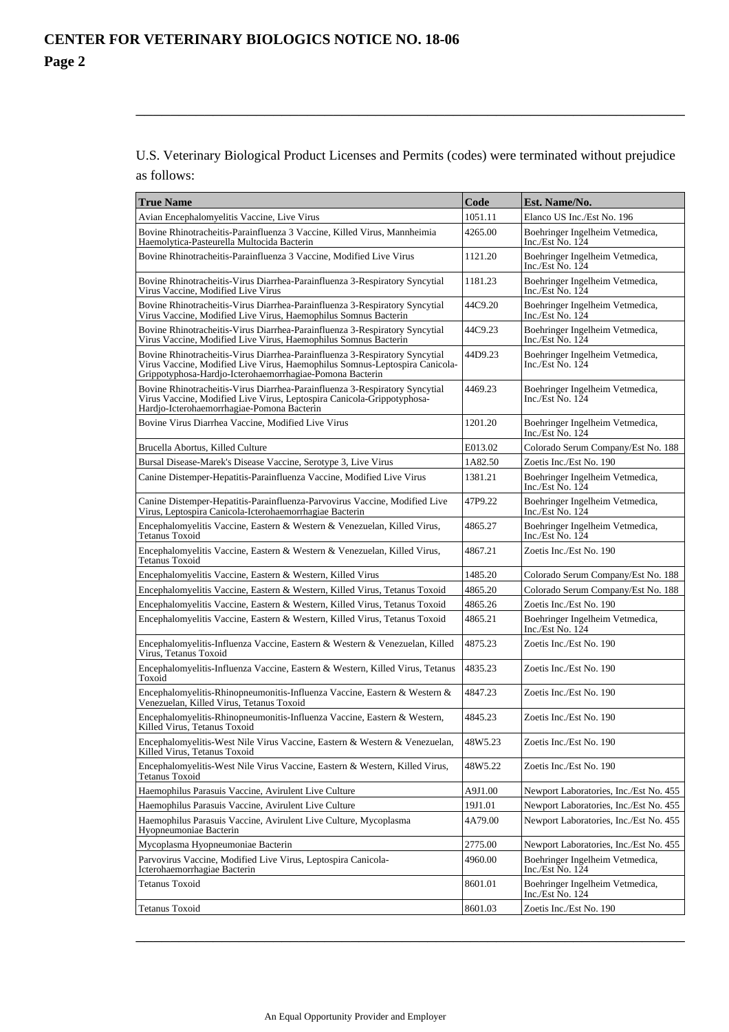U.S. Veterinary Biological Product Licenses and Permits (codes) were terminated without prejudice as follows:

\_\_\_\_\_\_\_\_\_\_\_\_\_\_\_\_\_\_\_\_\_\_\_\_\_\_\_\_\_\_\_\_\_\_\_\_\_\_\_\_\_\_\_\_\_\_\_\_\_\_\_\_\_\_\_\_\_\_\_\_\_\_\_\_

| <b>True Name</b>                                                                                                                                                                                                       | Code    | Est. Name/No.                                                     |
|------------------------------------------------------------------------------------------------------------------------------------------------------------------------------------------------------------------------|---------|-------------------------------------------------------------------|
| Avian Encephalomyelitis Vaccine, Live Virus                                                                                                                                                                            | 1051.11 | Elanco US Inc./Est No. 196                                        |
| Bovine Rhinotracheitis-Parainfluenza 3 Vaccine, Killed Virus, Mannheimia<br>Haemolytica-Pasteurella Multocida Bacterin                                                                                                 | 4265.00 | Boehringer Ingelheim Vetmedica,<br>Inc./Est $\overline{N}$ o. 124 |
| Bovine Rhinotracheitis-Parainfluenza 3 Vaccine, Modified Live Virus                                                                                                                                                    | 1121.20 | Boehringer Ingelheim Vetmedica,<br>Inc./Est $\overline{N}$ o. 124 |
| Bovine Rhinotracheitis-Virus Diarrhea-Parainfluenza 3-Respiratory Syncytial<br>Virus Vaccine, Modified Live Virus                                                                                                      | 1181.23 | Boehringer Ingelheim Vetmedica,<br>Inc./Est No. 124               |
| Bovine Rhinotracheitis-Virus Diarrhea-Parainfluenza 3-Respiratory Syncytial<br>Virus Vaccine, Modified Live Virus, Haemophilus Somnus Bacterin                                                                         | 44C9.20 | Boehringer Ingelheim Vetmedica,<br>Inc./Est No. 124               |
| Bovine Rhinotracheitis-Virus Diarrhea-Parainfluenza 3-Respiratory Syncytial<br>Virus Vaccine, Modified Live Virus, Haemophilus Somnus Bacterin                                                                         | 44C9.23 | Boehringer Ingelheim Vetmedica,<br>Inc./Est $\overline{N}$ o. 124 |
| Bovine Rhinotracheitis-Virus Diarrhea-Parainfluenza 3-Respiratory Syncytial<br>Virus Vaccine, Modified Live Virus, Haemophilus Somnus-Leptospira Canicola-<br>Grippotyphosa-Hardjo-Icterohaemorrhagiae-Pomona Bacterin | 44D9.23 | Boehringer Ingelheim Vetmedica,<br>Inc./Est $\overline{N}$ o. 124 |
| Bovine Rhinotracheitis-Virus Diarrhea-Parainfluenza 3-Respiratory Syncytial<br>Virus Vaccine, Modified Live Virus, Leptospira Canicola-Grippotyphosa-<br>Hardjo-Icterohaemorrhagiae-Pomona Bacterin                    | 4469.23 | Boehringer Ingelheim Vetmedica,<br>Inc./Est $\overline{N}$ o. 124 |
| Bovine Virus Diarrhea Vaccine, Modified Live Virus                                                                                                                                                                     | 1201.20 | Boehringer Ingelheim Vetmedica,<br>Inc./Est No. 124               |
| Brucella Abortus, Killed Culture                                                                                                                                                                                       | E013.02 | Colorado Serum Company/Est No. 188                                |
| Bursal Disease-Marek's Disease Vaccine, Serotype 3, Live Virus                                                                                                                                                         | 1A82.50 | Zoetis Inc./Est No. 190                                           |
| Canine Distemper-Hepatitis-Parainfluenza Vaccine, Modified Live Virus                                                                                                                                                  | 1381.21 | Boehringer Ingelheim Vetmedica,<br>Inc./Est $\overline{N}$ o. 124 |
| Canine Distemper-Hepatitis-Parainfluenza-Parvovirus Vaccine, Modified Live<br>Virus, Leptospira Canicola-Icterohaemorrhagiae Bacterin                                                                                  | 47P9.22 | Boehringer Ingelheim Vetmedica,<br>Inc./Est No. 124               |
| Encephalomyelitis Vaccine, Eastern & Western & Venezuelan, Killed Virus,<br><b>Tetanus Toxoid</b>                                                                                                                      | 4865.27 | Boehringer Ingelheim Vetmedica,<br>Inc./Est No. $124$             |
| Encephalomyelitis Vaccine, Eastern & Western & Venezuelan, Killed Virus,<br>Tetanus Toxoid                                                                                                                             | 4867.21 | Zoetis Inc./Est No. 190                                           |
| Encephalomyelitis Vaccine, Eastern & Western, Killed Virus                                                                                                                                                             | 1485.20 | Colorado Serum Company/Est No. 188                                |
| Encephalomyelitis Vaccine, Eastern & Western, Killed Virus, Tetanus Toxoid                                                                                                                                             | 4865.20 | Colorado Serum Company/Est No. 188                                |
| Encephalomyelitis Vaccine, Eastern & Western, Killed Virus, Tetanus Toxoid                                                                                                                                             | 4865.26 | Zoetis Inc./Est No. 190                                           |
| Encephalomyelitis Vaccine, Eastern & Western, Killed Virus, Tetanus Toxoid                                                                                                                                             | 4865.21 | Boehringer Ingelheim Vetmedica,<br>Inc./Est No. 124               |
| Encephalomyelitis-Influenza Vaccine, Eastern & Western & Venezuelan, Killed<br>Virus, Tetanus Toxoid                                                                                                                   | 4875.23 | Zoetis Inc./Est No. 190                                           |
| Encephalomyelitis-Influenza Vaccine, Eastern & Western, Killed Virus, Tetanus<br>Toxoid                                                                                                                                | 4835.23 | Zoetis Inc./Est No. 190                                           |
| Encephalomyelitis-Rhinopneumonitis-Influenza Vaccine, Eastern & Western &<br>Venezuelan, Killed Virus, Tetanus Toxoid                                                                                                  | 4847.23 | Zoetis Inc./Est No. 190                                           |
| Encephalomyelitis-Rhinopneumonitis-Influenza Vaccine, Eastern & Western,<br>Killed Virus, Tetanus Toxoid                                                                                                               | 4845.23 | Zoetis Inc./Est No. 190                                           |
| Encephalomyelitis-West Nile Virus Vaccine, Eastern & Western & Venezuelan,<br>Killed Virus, Tetanus Toxoid                                                                                                             | 48W5.23 | Zoetis Inc./Est No. 190                                           |
| Encephalomyelitis-West Nile Virus Vaccine, Eastern & Western, Killed Virus,<br>Tetanus Toxoid                                                                                                                          | 48W5.22 | Zoetis Inc./Est No. 190                                           |
| Haemophilus Parasuis Vaccine, Avirulent Live Culture                                                                                                                                                                   | A9J1.00 | Newport Laboratories, Inc./Est No. 455                            |
| Haemophilus Parasuis Vaccine, Avirulent Live Culture                                                                                                                                                                   | 19J1.01 | Newport Laboratories, Inc./Est No. 455                            |
| Haemophilus Parasuis Vaccine, Avirulent Live Culture, Mycoplasma<br>Hyopneumoniae Bacterin                                                                                                                             | 4A79.00 | Newport Laboratories, Inc./Est No. 455                            |
| Mycoplasma Hyopneumoniae Bacterin                                                                                                                                                                                      | 2775.00 | Newport Laboratories, Inc./Est No. 455                            |
| Parvovirus Vaccine, Modified Live Virus, Leptospira Canicola-<br>Icterohaemorrhagiae Bacterin                                                                                                                          | 4960.00 | Boehringer Ingelheim Vetmedica,<br>Inc./Est $\overline{N}$ o. 124 |
| <b>Tetanus Toxoid</b>                                                                                                                                                                                                  | 8601.01 | Boehringer Ingelheim Vetmedica,<br>Inc./Est No. $124$             |
| Tetanus Toxoid                                                                                                                                                                                                         | 8601.03 | Zoetis Inc./Est No. 190                                           |
|                                                                                                                                                                                                                        |         |                                                                   |

\_\_\_\_\_\_\_\_\_\_\_\_\_\_\_\_\_\_\_\_\_\_\_\_\_\_\_\_\_\_\_\_\_\_\_\_\_\_\_\_\_\_\_\_\_\_\_\_\_\_\_\_\_\_\_\_\_\_\_\_\_\_\_\_